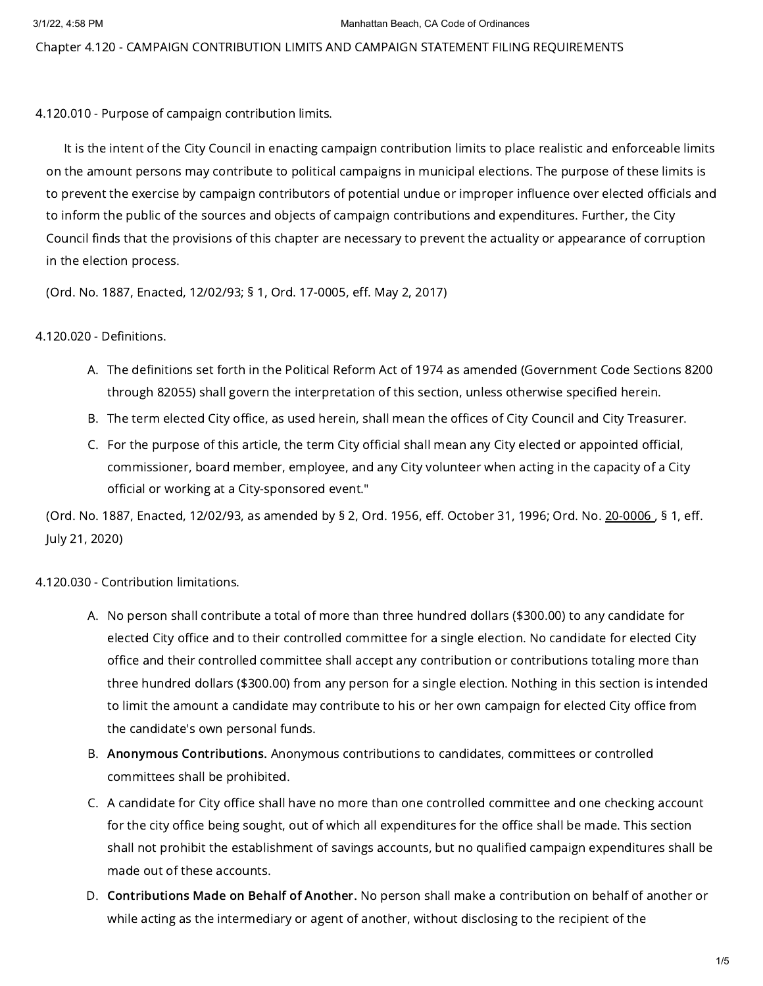Chapter 4.120 - CAMPAIGN CONTRIBUTION LIMITS AND CAMPAIGN STATEMENT FILING REQUIREMENTS

4.120.010 - Purpose of campaign contribution limits.

It is the intent of the City Council in enacting campaign contribution limits to place realistic and enforceable limits on the amount persons may contribute to political campaigns in municipal elections. The purpose of these limits is to prevent the exercise by campaign contributors of potential undue or improper influence over elected officials and to inform the public of the sources and objects of campaign contributions and expenditures. Further, the City Council finds that the provisions of this chapter are necessary to prevent the actuality or appearance of corruption in the election process.

(Ord. No. 1887, Enacted, 12/02/93; § 1, Ord. 17-0005, eff. May 2, 2017)

4.120.020 - Definitions.

- A. The definitions set forth in the Political Reform Act of 1974 as amended (Government Code Sections 8200 through 82055) shall govern the interpretation of this section, unless otherwise specified herein.
- B. The term elected City office, as used herein, shall mean the offices of City Council and City Treasurer.
- C. For the purpose of this article, the term City official shall mean any City elected or appointed official, commissioner, board member, employee, and any City volunteer when acting in the capacity of a City official or working at a City-sponsored event."

(Ord. No. 1887, Enacted, 12/02/93, as amended by § 2, Ord. 1956, eff. October 31, 1996; Ord. No. [20-0006](https://library.municode.com/), § 1, eff. July 21, 2020)

4.120.030 - Contribution limitations.

- A. No person shall contribute a total of more than three hundred dollars (\$300.00) to any candidate for elected City office and to their controlled committee for a single election. No candidate for elected City office and their controlled committee shall accept any contribution or contributions totaling more than three hundred dollars (\$300.00) from any person for a single election. Nothing in this section is intended to limit the amount a candidate may contribute to his or her own campaign for elected City office from the candidate's own personal funds.
- B. Anonymous Contributions. Anonymous contributions to candidates, committees or controlled committees shall be prohibited.
- C. A candidate for City office shall have no more than one controlled committee and one checking account for the city office being sought, out of which all expenditures for the office shall be made. This section shall not prohibit the establishment of savings accounts, but no qualified campaign expenditures shall be made out of these accounts.
- D. Contributions Made on Behalf of Another. No person shall make a contribution on behalf of another or while acting as the intermediary or agent of another, without disclosing to the recipient of the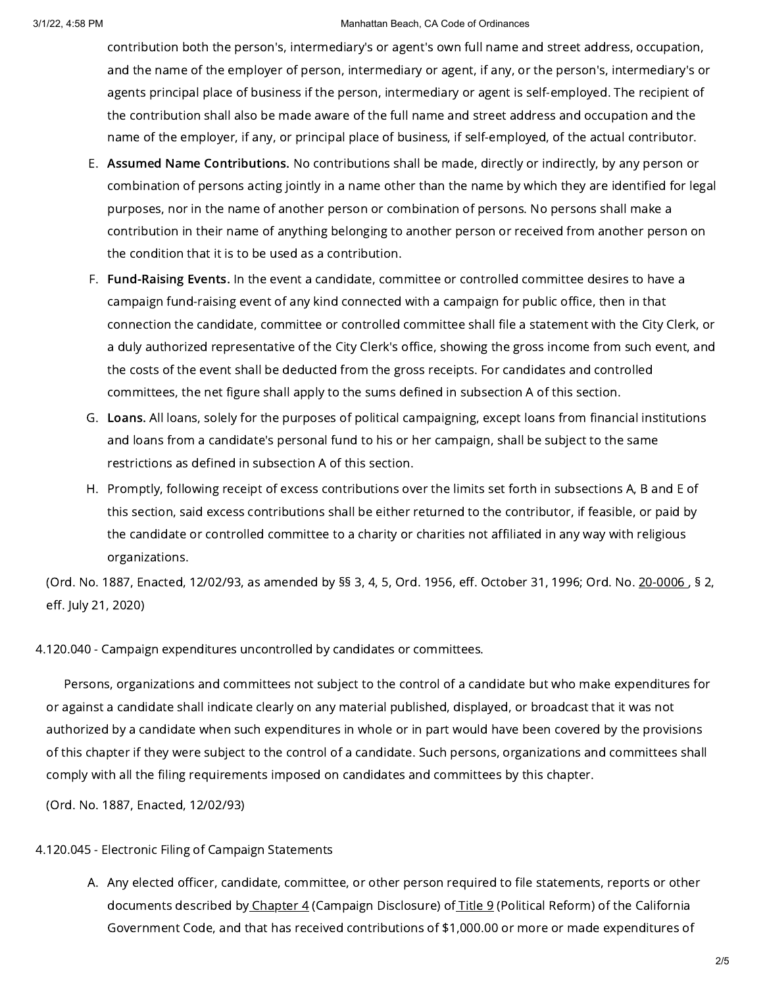## 3/1/22, 4:58 PM Manhattan Beach, CA Code of Ordinances

contribution both the person's, intermediary's or agent's own full name and street address, occupation, and the name of the employer of person, intermediary or agent, if any, or the person's, intermediary's or agents principal place of business if the person, intermediary or agent is self-employed. The recipient of the contribution shall also be made aware of the full name and street address and occupation and the name of the employer, if any, or principal place of business, if self-employed, of the actual contributor.

- E. Assumed Name Contributions. No contributions shall be made, directly or indirectly, by any person or combination of persons acting jointly in a name other than the name by which they are identified for legal purposes, nor in the name of another person or combination of persons. No persons shall make a contribution in their name of anything belonging to another person or received from another person on the condition that it is to be used as a contribution.
- F. Fund-Raising Events. In the event a candidate, committee or controlled committee desires to have a campaign fund-raising event of any kind connected with a campaign for public office, then in that connection the candidate, committee or controlled committee shall file a statement with the City Clerk, or a duly authorized representative of the City Clerk's office, showing the gross income from such event, and the costs of the event shall be deducted from the gross receipts. For candidates and controlled committees, the net figure shall apply to the sums defined in subsection A of this section.
- G. Loans. All loans, solely for the purposes of political campaigning, except loans from financial institutions and loans from a candidate's personal fund to his or her campaign, shall be subject to the same restrictions as defined in subsection A of this section.
- H. Promptly, following receipt of excess contributions over the limits set forth in subsections A, B and E of this section, said excess contributions shall be either returned to the contributor, if feasible, or paid by the candidate or controlled committee to a charity or charities not affiliated in any way with religious organizations.

(Ord. No. 1887, Enacted, 12/02/93, as amended by §§ 3, 4, 5, Ord. 1956, eff. October 31, 1996; Ord. No. [20-0006](https://library.municode.com/) , § 2, eff. July 21, 2020)

4.120.040 - Campaign expenditures uncontrolled by candidates or committees.

Persons, organizations and committees not subject to the control of a candidate but who make expenditures for or against a candidate shall indicate clearly on any material published, displayed, or broadcast that it was not authorized by a candidate when such expenditures in whole or in part would have been covered by the provisions of this chapter if they were subject to the control of a candidate. Such persons, organizations and committees shall comply with all the filing requirements imposed on candidates and committees by this chapter.

(Ord. No. 1887, Enacted, 12/02/93)

4.120.045 - Electronic Filing of Campaign Statements

A. Any elected officer, candidate, committee, or other person required to file statements, reports or other documents described by [Chapter](https://library.municode.com/) 4 (Campaign Disclosure) of [Title](https://library.municode.com/) 9 (Political Reform) of the California Government Code, and that has received contributions of \$1,000.00 or more or made expenditures of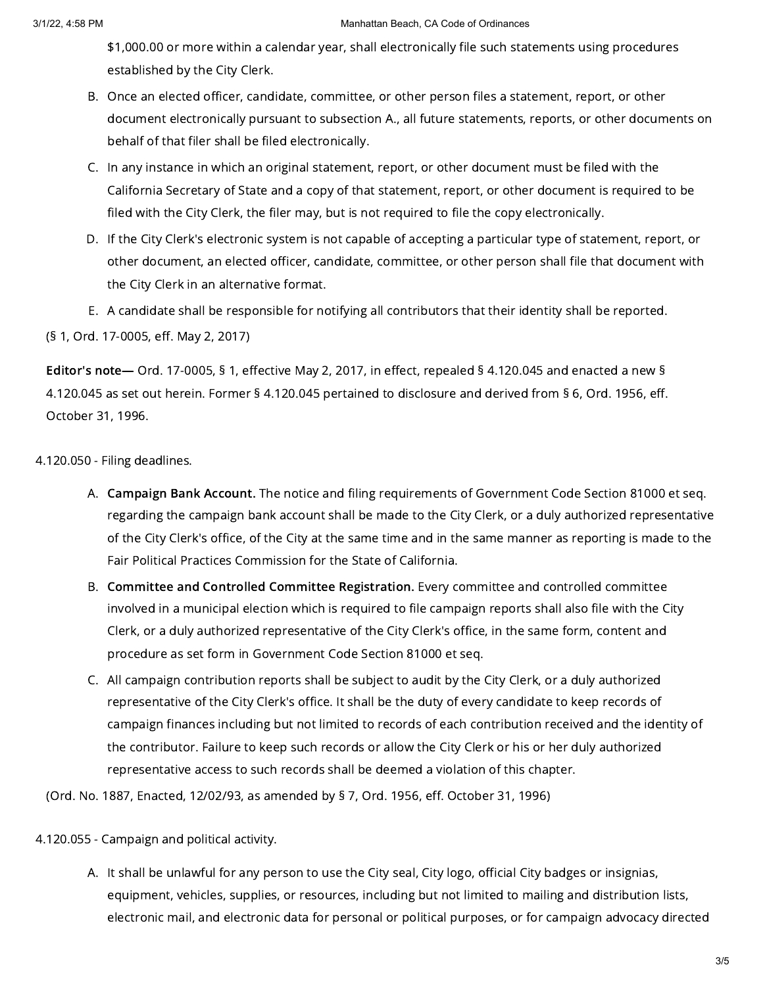## 3/1/22, 4:58 PM Manhattan Beach, CA Code of Ordinances

\$1,000.00 or more within a calendar year, shall electronically file such statements using procedures established by the City Clerk.

- B. Once an elected officer, candidate, committee, or other person files a statement, report, or other document electronically pursuant to subsection A., all future statements, reports, or other documents on behalf of that filer shall be filed electronically.
- C. In any instance in which an original statement, report, or other document must be filed with the California Secretary of State and a copy of that statement, report, or other document is required to be filed with the City Clerk, the filer may, but is not required to file the copy electronically.
- D. If the City Clerk's electronic system is not capable of accepting a particular type of statement, report, or other document, an elected officer, candidate, committee, or other person shall file that document with the City Clerk in an alternative format.
- E. A candidate shall be responsible for notifying all contributors that their identity shall be reported.

(§ 1, Ord. 17-0005, eff. May 2, 2017)

Editor's note— Ord. 17-0005, § 1, effective May 2, 2017, in effect, repealed § 4.120.045 and enacted a new § 4.120.045 as set out herein. Former § 4.120.045 pertained to disclosure and derived from § 6, Ord. 1956, eff. October 31, 1996.

4.120.050 - Filing deadlines.

- A. Campaign Bank Account. The notice and filing requirements of Government Code Section 81000 et seq. regarding the campaign bank account shall be made to the City Clerk, or a duly authorized representative of the City Clerk's office, of the City at the same time and in the same manner as reporting is made to the Fair Political Practices Commission for the State of California.
- B. Committee and Controlled Committee Registration. Every committee and controlled committee involved in a municipal election which is required to file campaign reports shall also file with the City Clerk, or a duly authorized representative of the City Clerk's office, in the same form, content and procedure as set form in Government Code Section 81000 et seq.
- C. All campaign contribution reports shall be subject to audit by the City Clerk, or a duly authorized representative of the City Clerk's office. It shall be the duty of every candidate to keep records of campaign finances including but not limited to records of each contribution received and the identity of the contributor. Failure to keep such records or allow the City Clerk or his or her duly authorized representative access to such records shall be deemed a violation of this chapter.

(Ord. No. 1887, Enacted, 12/02/93, as amended by § 7, Ord. 1956, eff. October 31, 1996)

4.120.055 - Campaign and political activity.

A. It shall be unlawful for any person to use the City seal, City logo, official City badges or insignias, equipment, vehicles, supplies, or resources, including but not limited to mailing and distribution lists, electronic mail, and electronic data for personal or political purposes, or for campaign advocacy directed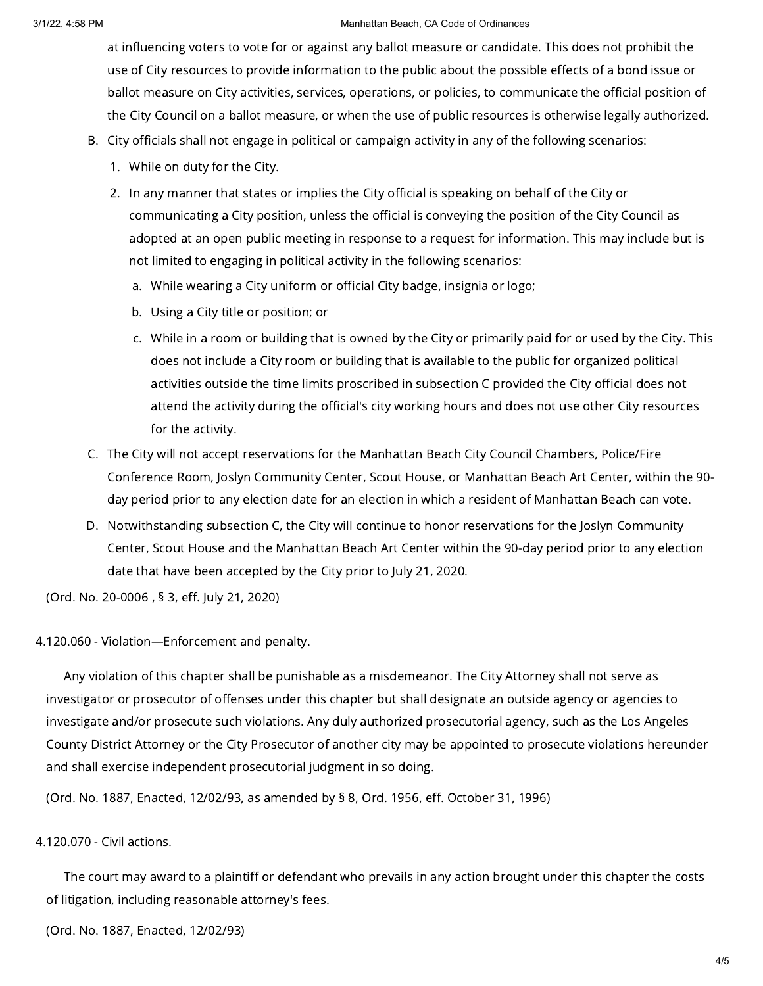## 3/1/22, 4:58 PM Manhattan Beach, CA Code of Ordinances

at influencing voters to vote for or against any ballot measure or candidate. This does not prohibit the use of City resources to provide information to the public about the possible effects of a bond issue or ballot measure on City activities, services, operations, or policies, to communicate the official position of the City Council on a ballot measure, or when the use of public resources is otherwise legally authorized.

- B. City officials shall not engage in political or campaign activity in any of the following scenarios:
	- 1. While on duty for the City.
	- 2. In any manner that states or implies the City official is speaking on behalf of the City or communicating a City position, unless the official is conveying the position of the City Council as adopted at an open public meeting in response to a request for information. This may include but is not limited to engaging in political activity in the following scenarios:
		- a. While wearing a City uniform or official City badge, insignia or logo;
		- b. Using a City title or position; or
		- c. While in a room or building that is owned by the City or primarily paid for or used by the City. This does not include a City room or building that is available to the public for organized political activities outside the time limits proscribed in subsection C provided the City official does not attend the activity during the official's city working hours and does not use other City resources for the activity.
- C. The City will not accept reservations for the Manhattan Beach City Council Chambers, Police/Fire Conference Room, Joslyn Community Center, Scout House, or Manhattan Beach Art Center, within the 90 day period prior to any election date for an election in which a resident of Manhattan Beach can vote.
- D. Notwithstanding subsection C, the City will continue to honor reservations for the Joslyn Community Center, Scout House and the Manhattan Beach Art Center within the 90-day period prior to any election date that have been accepted by the City prior to July 21, 2020.

(Ord. No. [20-0006](https://library.municode.com/) , § 3, eff. July 21, 2020)

4.120.060 - Violation—Enforcement and penalty.

Any violation of this chapter shall be punishable as a misdemeanor. The City Attorney shall not serve as investigator or prosecutor of offenses under this chapter but shall designate an outside agency or agencies to investigate and/or prosecute such violations. Any duly authorized prosecutorial agency, such as the Los Angeles County District Attorney or the City Prosecutor of another city may be appointed to prosecute violations hereunder and shall exercise independent prosecutorial judgment in so doing.

(Ord. No. 1887, Enacted, 12/02/93, as amended by § 8, Ord. 1956, eff. October 31, 1996)

## 4.120.070 - Civil actions.

The court may award to a plaintiff or defendant who prevails in any action brought under this chapter the costs of litigation, including reasonable attorney's fees.

(Ord. No. 1887, Enacted, 12/02/93)